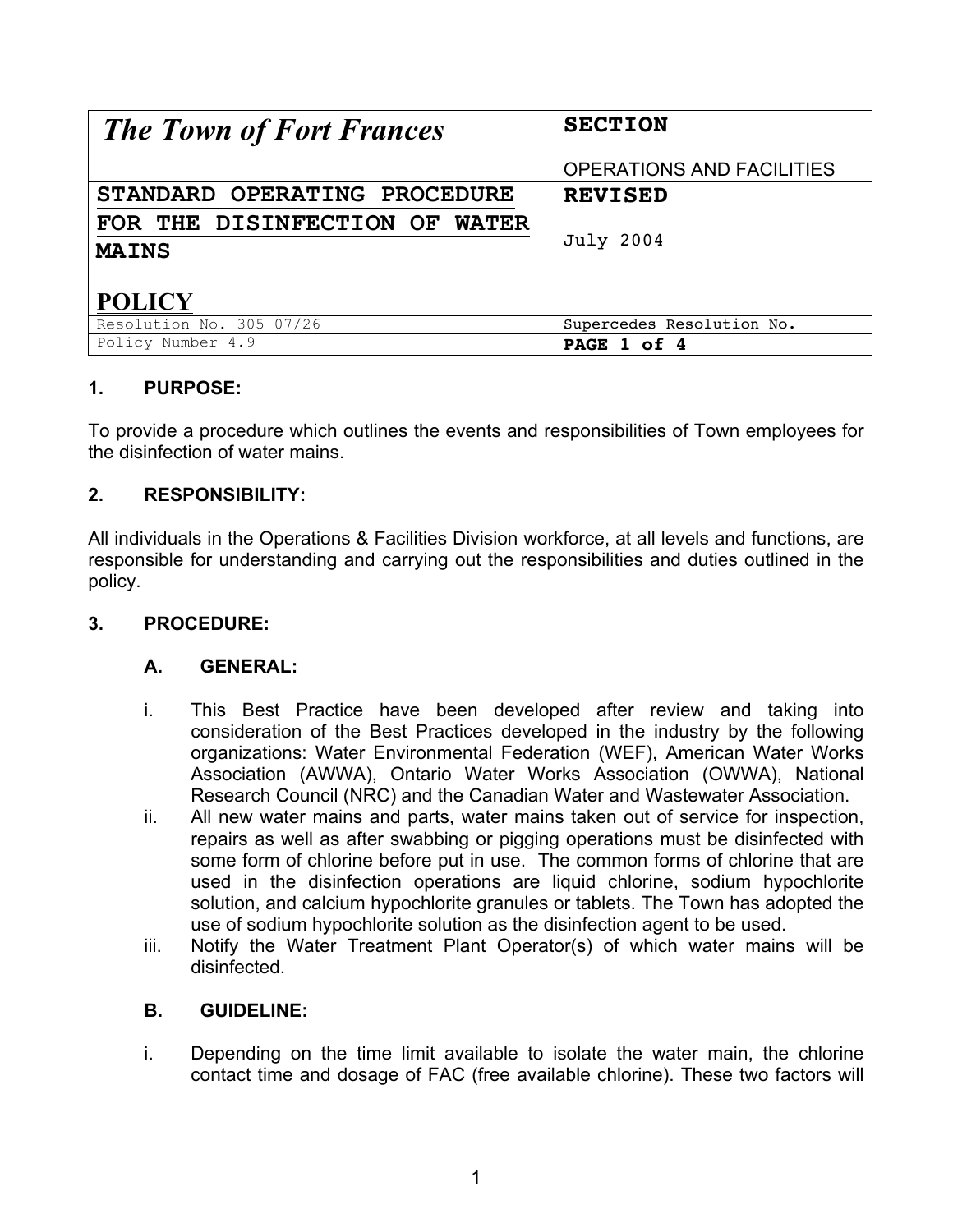| <b>The Town of Fort Frances</b> | <b>SECTION</b>                   |  |  |
|---------------------------------|----------------------------------|--|--|
|                                 | <b>OPERATIONS AND FACILITIES</b> |  |  |
| STANDARD OPERATING PROCEDURE    | <b>REVISED</b>                   |  |  |
| FOR THE DISINFECTION OF WATER   |                                  |  |  |
| <b>MAINS</b>                    | <b>July 2004</b>                 |  |  |
|                                 |                                  |  |  |
| <b>POLICY</b>                   |                                  |  |  |
| Resolution No. 305 07/26        | Supercedes Resolution No.        |  |  |
| Policy Number 4.9               | PAGE 1 of 4                      |  |  |

# **1. PURPOSE:**

To provide a procedure which outlines the events and responsibilities of Town employees for the disinfection of water mains.

## **2. RESPONSIBILITY:**

All individuals in the Operations & Facilities Division workforce, at all levels and functions, are responsible for understanding and carrying out the responsibilities and duties outlined in the policy.

## **3. PROCEDURE:**

## **A. GENERAL:**

- i. This Best Practice have been developed after review and taking into consideration of the Best Practices developed in the industry by the following organizations: Water Environmental Federation (WEF), American Water Works Association (AWWA), Ontario Water Works Association (OWWA), National Research Council (NRC) and the Canadian Water and Wastewater Association.
- ii. All new water mains and parts, water mains taken out of service for inspection, repairs as well as after swabbing or pigging operations must be disinfected with some form of chlorine before put in use. The common forms of chlorine that are used in the disinfection operations are liquid chlorine, sodium hypochlorite solution, and calcium hypochlorite granules or tablets. The Town has adopted the use of sodium hypochlorite solution as the disinfection agent to be used.
- iii. Notify the Water Treatment Plant Operator(s) of which water mains will be disinfected.

## **B. GUIDELINE:**

i. Depending on the time limit available to isolate the water main, the chlorine contact time and dosage of FAC (free available chlorine). These two factors will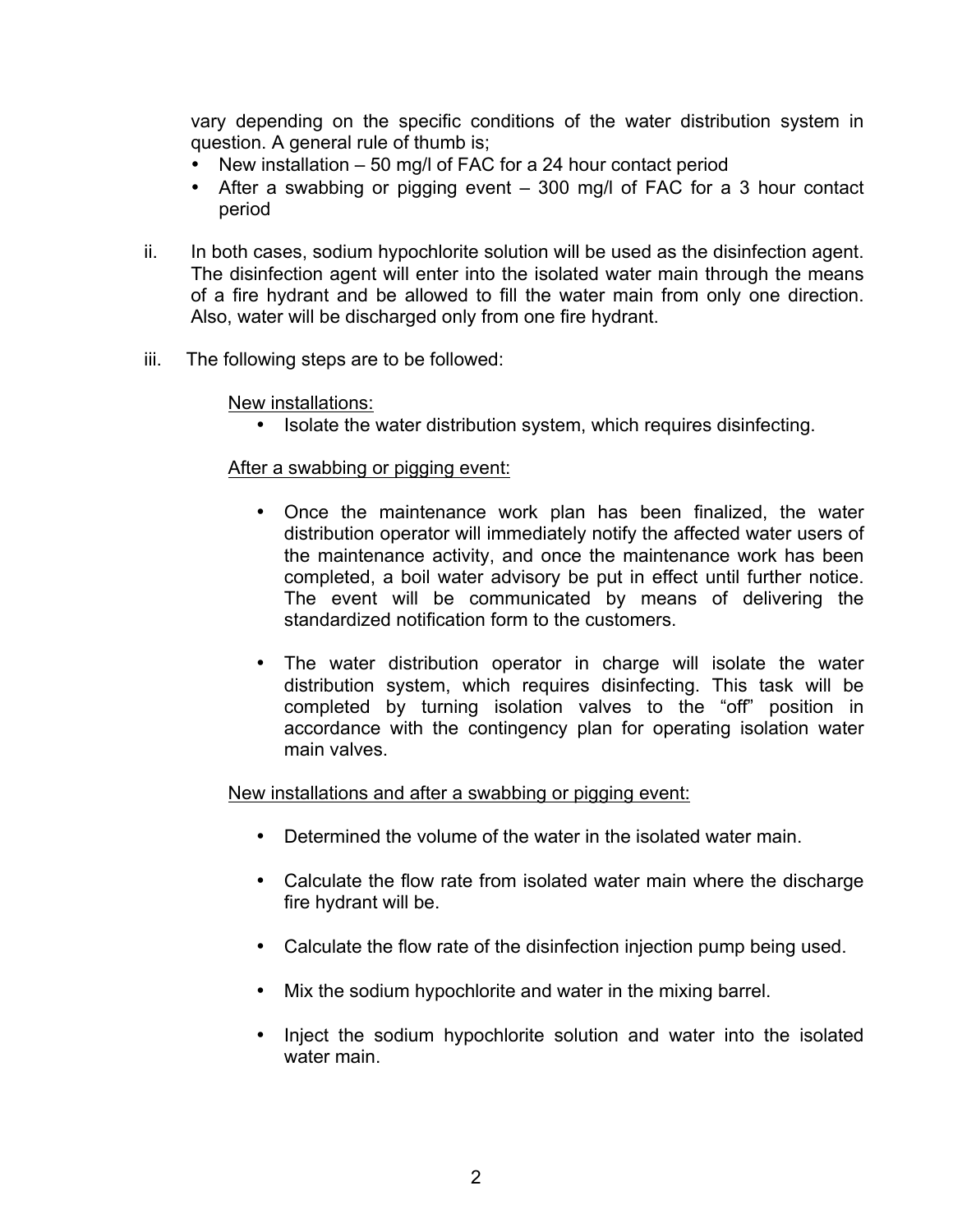vary depending on the specific conditions of the water distribution system in question. A general rule of thumb is;

- New installation 50 mg/l of FAC for a 24 hour contact period
- After a swabbing or pigging event 300 mg/l of FAC for a 3 hour contact period
- ii. In both cases, sodium hypochlorite solution will be used as the disinfection agent. The disinfection agent will enter into the isolated water main through the means of a fire hydrant and be allowed to fill the water main from only one direction. Also, water will be discharged only from one fire hydrant.
- iii. The following steps are to be followed:

New installations:

• Isolate the water distribution system, which requires disinfecting.

#### After a swabbing or pigging event:

- Once the maintenance work plan has been finalized, the water distribution operator will immediately notify the affected water users of the maintenance activity, and once the maintenance work has been completed, a boil water advisory be put in effect until further notice. The event will be communicated by means of delivering the standardized notification form to the customers.
- The water distribution operator in charge will isolate the water distribution system, which requires disinfecting. This task will be completed by turning isolation valves to the "off" position in accordance with the contingency plan for operating isolation water main valves.

New installations and after a swabbing or pigging event:

- Determined the volume of the water in the isolated water main.
- Calculate the flow rate from isolated water main where the discharge fire hydrant will be.
- Calculate the flow rate of the disinfection injection pump being used.
- Mix the sodium hypochlorite and water in the mixing barrel.
- Inject the sodium hypochlorite solution and water into the isolated water main.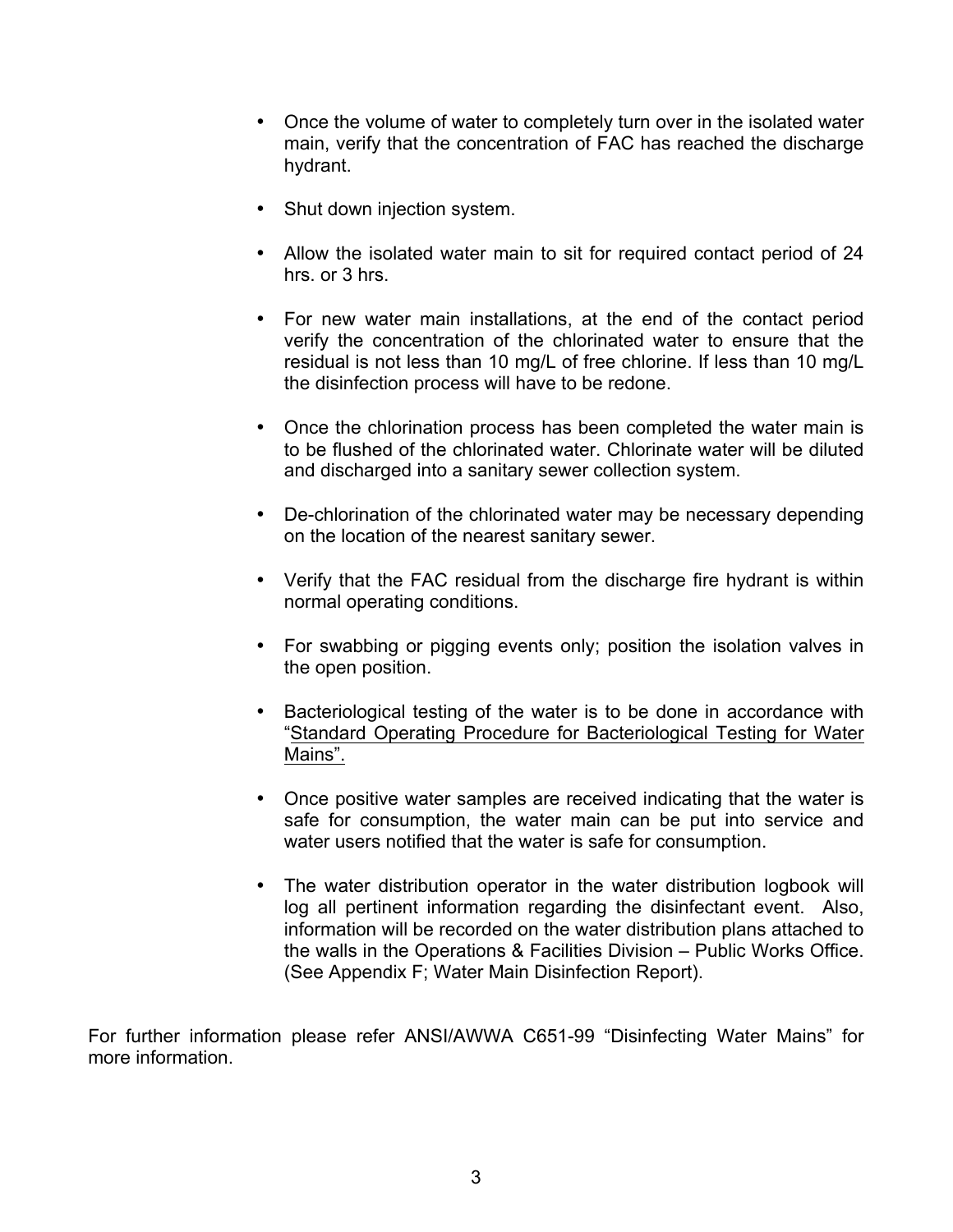- Once the volume of water to completely turn over in the isolated water main, verify that the concentration of FAC has reached the discharge hydrant.
- Shut down injection system.
- Allow the isolated water main to sit for required contact period of 24 hrs. or 3 hrs.
- For new water main installations, at the end of the contact period verify the concentration of the chlorinated water to ensure that the residual is not less than 10 mg/L of free chlorine. If less than 10 mg/L the disinfection process will have to be redone.
- Once the chlorination process has been completed the water main is to be flushed of the chlorinated water. Chlorinate water will be diluted and discharged into a sanitary sewer collection system.
- De-chlorination of the chlorinated water may be necessary depending on the location of the nearest sanitary sewer.
- Verify that the FAC residual from the discharge fire hydrant is within normal operating conditions.
- For swabbing or pigging events only; position the isolation valves in the open position.
- Bacteriological testing of the water is to be done in accordance with "Standard Operating Procedure for Bacteriological Testing for Water Mains".
- Once positive water samples are received indicating that the water is safe for consumption, the water main can be put into service and water users notified that the water is safe for consumption.
- The water distribution operator in the water distribution logbook will log all pertinent information regarding the disinfectant event. Also, information will be recorded on the water distribution plans attached to the walls in the Operations & Facilities Division – Public Works Office. (See Appendix F; Water Main Disinfection Report).

For further information please refer ANSI/AWWA C651-99 "Disinfecting Water Mains" for more information.